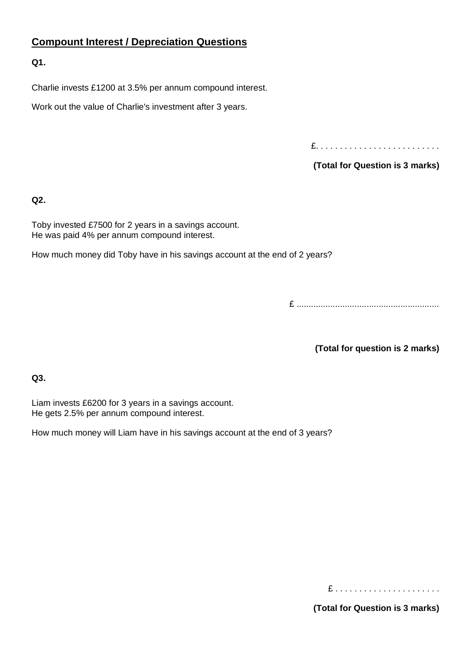# **Compount Interest / Depreciation Questions**

**Q1.**

Charlie invests £1200 at 3.5% per annum compound interest.

Work out the value of Charlie's investment after 3 years.

£. . . . . . . . . . . . . . . . . . . . . . . . . .

**(Total for Question is 3 marks)**

**Q2.**

Toby invested £7500 for 2 years in a savings account. He was paid 4% per annum compound interest.

How much money did Toby have in his savings account at the end of 2 years?

£ ...........................................................

**(Total for question is 2 marks)**

**Q3.**

Liam invests £6200 for 3 years in a savings account. He gets 2.5% per annum compound interest.

How much money will Liam have in his savings account at the end of 3 years?

£ . . . . . . . . . . . . . . . . . . . . . .

**(Total for Question is 3 marks)**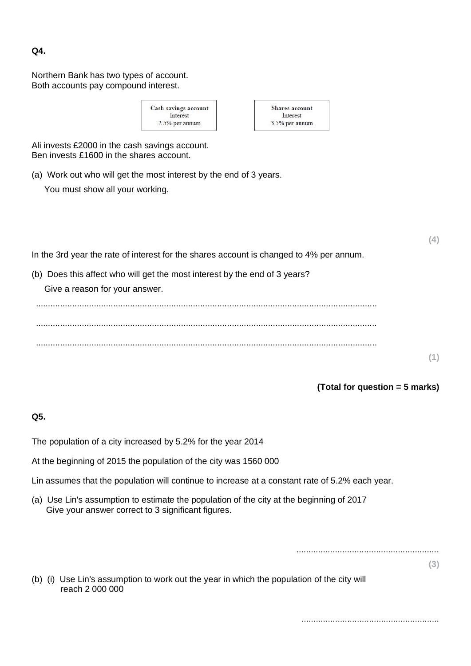**Q4.**

Northern Bank has two types of account. Both accounts pay compound interest.

| Cash savings account | <b>Shares account</b> |
|----------------------|-----------------------|
| Interest             | Interest              |
| $2.5%$ per annum     | 3.5% per annum        |

Ali invests £2000 in the cash savings account. Ben invests £1600 in the shares account.

(a) Work out who will get the most interest by the end of 3 years.

You must show all your working.

|                                                                                                              | (4)             |
|--------------------------------------------------------------------------------------------------------------|-----------------|
| In the 3rd year the rate of interest for the shares account is changed to 4% per annum.                      |                 |
| (b) Does this affect who will get the most interest by the end of 3 years?<br>Give a reason for your answer. |                 |
|                                                                                                              |                 |
|                                                                                                              | 44 <sup>1</sup> |

**(1)**

# **(Total for question = 5 marks)**

# **Q5.**

The population of a city increased by 5.2% for the year 2014

At the beginning of 2015 the population of the city was 1560 000

Lin assumes that the population will continue to increase at a constant rate of 5.2% each year.

(a) Use Lin's assumption to estimate the population of the city at the beginning of 2017 Give your answer correct to 3 significant figures.

...........................................................

**(3)**

(b) (i) Use Lin's assumption to work out the year in which the population of the city will reach 2 000 000

.........................................................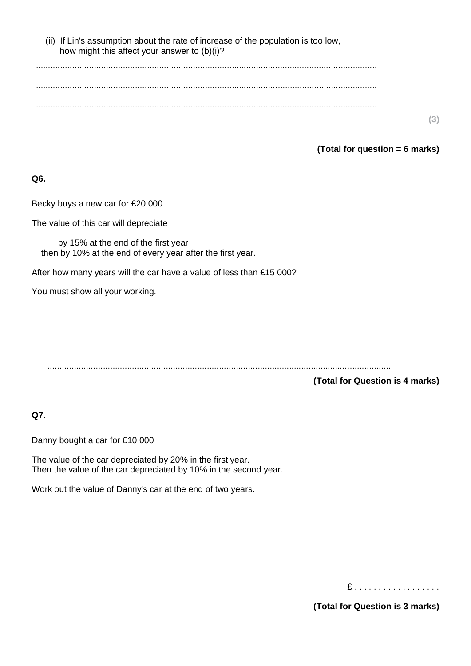| (ii) If Lin's assumption about the rate of increase of the population is too low, |
|-----------------------------------------------------------------------------------|
| how might this affect your answer to (b)(i)?                                      |

**(3)**

#### **(Total for question = 6 marks)**

#### **Q6.**

Becky buys a new car for £20 000

The value of this car will depreciate

by 15% at the end of the first year then by 10% at the end of every year after the first year.

After how many years will the car have a value of less than £15 000?

You must show all your working.

..............................................................................................................................................

**(Total for Question is 4 marks)**

# **Q7.**

Danny bought a car for £10 000

The value of the car depreciated by 20% in the first year. Then the value of the car depreciated by 10% in the second year.

Work out the value of Danny's car at the end of two years.

£ . . . . . . . . . . . . . . . . . .

**(Total for Question is 3 marks)**